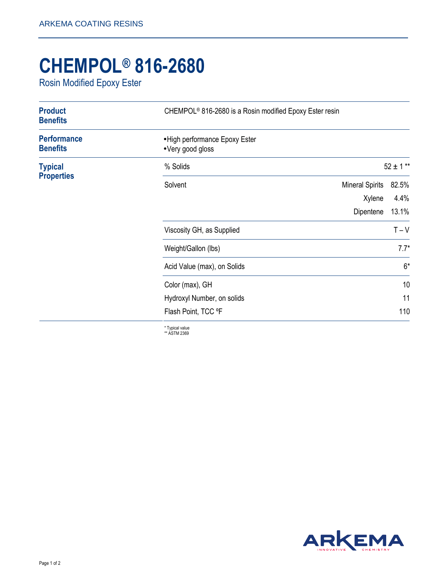## **CHEMPOL® 816-2680**

Rosin Modified Epoxy Ester

| <b>Product</b><br><b>Benefits</b>     | CHEMPOL <sup>®</sup> 816-2680 is a Rosin modified Epoxy Ester resin |                        |               |
|---------------------------------------|---------------------------------------------------------------------|------------------------|---------------|
| <b>Performance</b><br><b>Benefits</b> | • High performance Epoxy Ester<br>•Very good gloss                  |                        |               |
| <b>Typical</b><br><b>Properties</b>   | % Solids                                                            |                        | $52 \pm 1$ ** |
|                                       | Solvent                                                             | <b>Mineral Spirits</b> | 82.5%         |
|                                       |                                                                     | Xylene<br>Dipentene    | 4.4%<br>13.1% |
|                                       | Viscosity GH, as Supplied                                           |                        | $T - V$       |
|                                       | Weight/Gallon (lbs)                                                 |                        | $7.7*$        |
|                                       | Acid Value (max), on Solids                                         |                        | $6*$          |
|                                       | Color (max), GH                                                     |                        | 10            |
|                                       | Hydroxyl Number, on solids                                          |                        | 11            |
|                                       | Flash Point, TCC °F                                                 |                        | 110           |

\* Typical value \*\* ASTM 2369